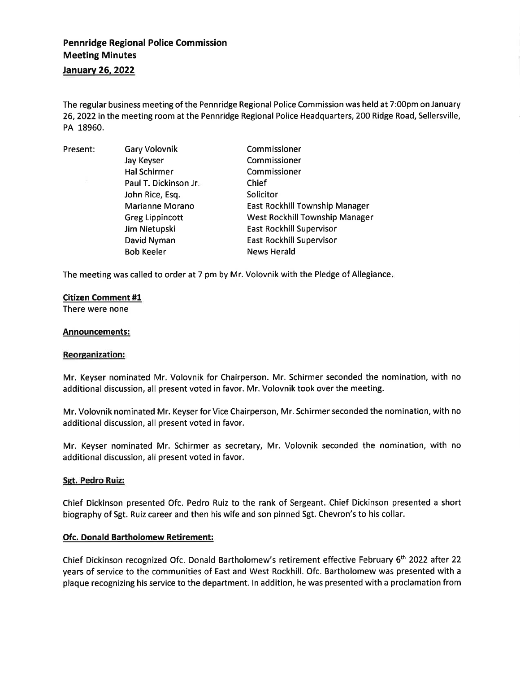# Pennridge Regional Police Commission Meeting Minutes January 26, 2022

The regular business meeting of the Pennridge Regional Police Commission was held at 7:00pm on January 26,2022 in the meeting room at the Pennridge Regional Police Headquarters, 200 Ridge Road, Sellersville, PA 18950.

Present: Gary Volovnik Jay Keyser Hal Schirmer Paul T. Dickinson Jr John Rice, Esq. Marianne Morano Greg Lippincott Jim Nietupski David Nyman Bob Keeler Commissioner Commissioner Commissioner Chief Solicitor East Rockhill Township Manager West Rockhill Township Manager East Rockhill Supervisor East Rockhill Supervisor News Herald

The meeting was called to order at 7 pm by Mr. Volovnik with the Pledge of Allegiance

# Citizen Comment #1

There were none

# Announcements:

#### Reorganization:

Mr. Keyser nominated Mr. Volovnik for Chairperson. Mr. Schirmer seconded the nomination, with no additional discussion, all present voted in favor. Mr. Volovnik took over the meeting.

Mr. Volovnik nominated Mr. Keyser for Vice Chairperson, Mr. Schirmer seconded the nomination, with no additional discussion, all present voted in favor.

Mr. Keyser nominated Mr. Schirmer as secretary, Mr. Volovnik seconded the nomination, with no additional discussion, all present voted in favor.

#### Sgt. Pedro Ruiz:

Chief Dickinson presented Ofc. Pedro Ruiz to the rank of Sergeant. Chief Dickinson presented a short biography of Sgt. Ruiz career and then his wife and son pinned Sgt. Chevron's to his collar.

#### Ofc. Donald Bartholomew Retirement:

Chief Dickinson recognized Ofc. Donald Bartholomew's retirement effective February 6th 2022 after 22 years of service to the communities of East and West Rockhill. Ofc. Bartholomew was presented with <sup>a</sup> plaque recognizing his service to the department. ln addition, he was presented with a proclamation from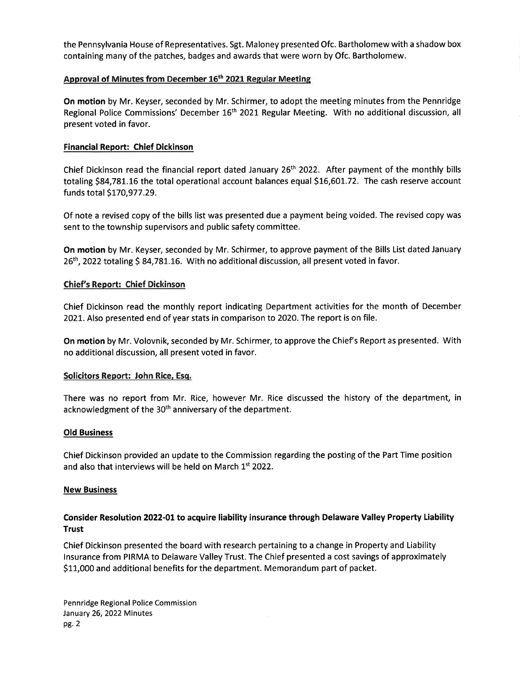the Pennsylvania House of Representatives. Sgt. Maloney presented Ofc. Bartholomew with a shadow box containing many of the patches, badges and awards that were worn by Ofc. Bartholomew.

# Approval of Minutes from December 16<sup>th</sup> 2021 Regular Meeting

On motion by Mr. Keyser, seconded by Mr. Schirmer, to adopt the meeting minutes from the Pennridge Regional Police Commissions' December 16<sup>th</sup> 2021 Regular Meeting. With no additional discussion, all present voted in favor.

# Financial Report: Chief Dickinson

Chief Dickinson read the financial report dated January 26<sup>th</sup> 2022. After payment of the monthly bills totaling \$84,781.16 the total operational account balances equal \$16,601.72. The cash reserve account funds total 5L7O,977 .29.

Of note a revised copy of the bills list was presented due a payment being voided. The revised copy was sent to the township supervisors and public safety committee.

On motion by Mr. Keyser, seconded by Mr. Schirmer, to approve payment of the Bills List dated January 26<sup>th</sup>, 2022 totaling \$ 84,781.16. With no additional discussion, all present voted in favor.

# Chief's Report: Chief Dickinson

Chief Dickinson read the monthly report indicating Department activities for the month of December 2021. Also presented end of year stats in comparison to 2020. The report is on file.

On motion by Mr. Volovnik, seconded by Mr. Schirmer, to approve the Chief's Report as presented. With no additional discussion, all present voted in favor.

#### Solicitors Report: John Rice, Esq.

There was no report from Mr. Rice, however Mr. Rice discussed the history of the department, in acknowledgment of the 30<sup>th</sup> anniversary of the department.

# Old Business

Chief Dickinson provided an update to the Commission regarding the posting of the Part Time position and also that interviews will be held on March  $1<sup>st</sup>$  2022.

#### **New Business**

# Consider Resolution 2O22-0t to acquire liability insurance through Delaware Valley Property tiability Trust

Chief Dickinson presented the board with research pertaining to a change in Property and Liability lnsurance from PIRMA to Delaware Valley Trust. The Chief presented a cost savings of approximately S11,000 and additional benefits for the department. Memorandum part of packet.

Pennridge Regional Police Commission January 26, 2022 Minutes pc.2